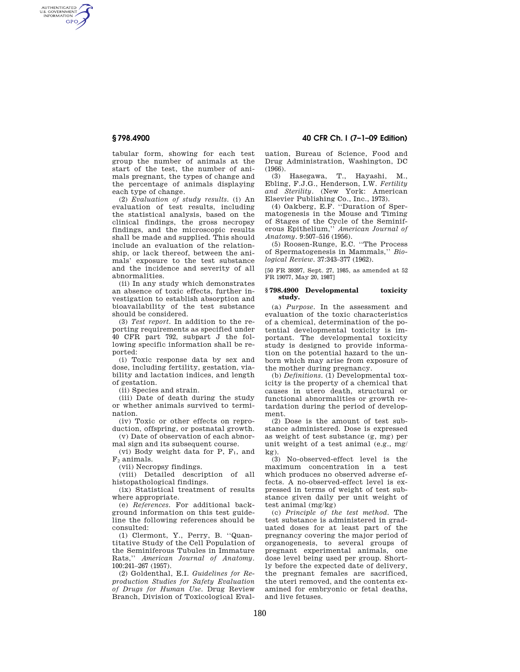AUTHENTICATED<br>U.S. GOVERNMENT<br>INFORMATION **GPO** 

> tabular form, showing for each test group the number of animals at the start of the test, the number of animals pregnant, the types of change and the percentage of animals displaying each type of change.

> (2) *Evaluation of study results.* (i) An evaluation of test results, including the statistical analysis, based on the clinical findings, the gross necropsy findings, and the microscopic results shall be made and supplied. This should include an evaluation of the relationship, or lack thereof, between the animals' exposure to the test substance and the incidence and severity of all abnormalities.

> (ii) In any study which demonstrates an absence of toxic effects, further investigation to establish absorption and bioavailability of the test substance should be considered.

> (3) *Test report.* In addition to the reporting requirements as specified under 40 CFR part 792, subpart J the following specific information shall be reported:

> (i) Toxic response data by sex and dose, including fertility, gestation, viability and lactation indices, and length of gestation.

(ii) Species and strain.

(iii) Date of death during the study or whether animals survived to termination.

(iv) Toxic or other effects on reproduction, offspring, or postnatal growth.

(v) Date of observation of each abnormal sign and its subsequent course.

(vi) Body weight data for  $P$ ,  $F_1$ , and  $F_2$  animals.

(vii) Necropsy findings.

(viii) Detailed description of all histopathological findings.

(ix) Statistical treatment of results where appropriate.

(e) *References.* For additional background information on this test guideline the following references should be consulted:

(1) Clermont, Y., Perry, B. ''Quantitative Study of the Cell Population of the Seminiferous Tubules in Immature Rats,'' *American Journal of Anatomy.*  100:241–267 (1957).

(2) Goldenthal, E.I. *Guidelines for Reproduction Studies for Safety Evaluation of Drugs for Human Use.* Drug Review Branch, Division of Toxicological Eval-

**§ 798.4900 40 CFR Ch. I (7–1–09 Edition)** 

uation, Bureau of Science, Food and Drug Administration, Washington, DC (1966).

(3) Hasegawa, T., Hayashi, M., Ebling, F.J.G., Henderson, I.W. *Fertility and Sterility.* (New York: American Elsevier Publishing Co., Inc., 1973).

(4) Oakberg, E.F. ''Duration of Spermatogenesis in the Mouse and Timing of Stages of the Cycle of the Seminiferous Epithelium,'' *American Journal of Anatomy.* 9:507–516 (1956).

(5) Roosen-Runge, E.C. ''The Process of Spermatogenesis in Mammals,'' *Biological Review.* 37:343–377 (1962).

[50 FR 39397, Sept. 27, 1985, as amended at 52 FR 19077, May 20, 1987]

### **§ 798.4900 Developmental toxicity study.**

(a) *Purpose.* In the assessment and evaluation of the toxic characteristics of a chemical, determination of the potential developmental toxicity is important. The developmental toxicity study is designed to provide information on the potential hazard to the unborn which may arise from exposure of the mother during pregnancy.

(b) *Definitions.* (1) Developmental toxicity is the property of a chemical that causes in utero death, structural or functional abnormalities or growth retardation during the period of development.

(2) Dose is the amount of test substance administered. Dose is expressed as weight of test substance (g, mg) per unit weight of a test animal (e.g., mg/ kg).

(3) No-observed-effect level is the maximum concentration in a test which produces no observed adverse effects. A no-observed-effect level is expressed in terms of weight of test substance given daily per unit weight of test animal (mg/kg)

(c) *Principle of the test method.* The test substance is administered in graduated doses for at least part of the pregnancy covering the major period of organogenesis, to several groups of pregnant experimental animals, one dose level being used per group. Shortly before the expected date of delivery, the pregnant females are sacrificed, the uteri removed, and the contents examined for embryonic or fetal deaths, and live fetuses.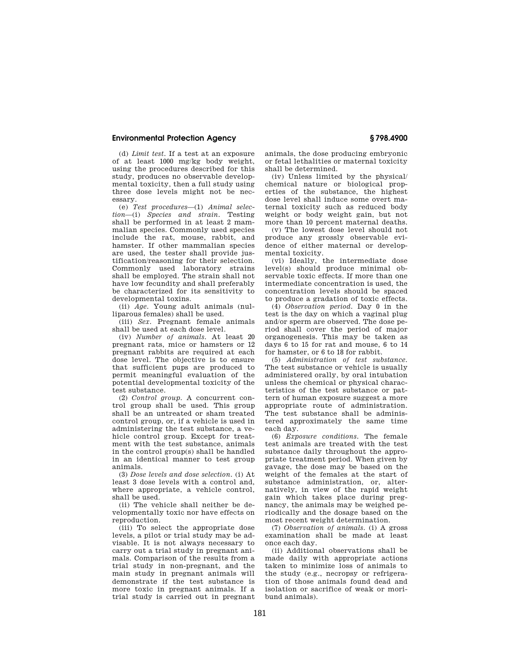# **Environmental Protection Agency § 798.4900**

(d) *Limit test.* If a test at an exposure of at least 1000 mg/kg body weight, using the procedures described for this study, produces no observable developmental toxicity, then a full study using three dose levels might not be necessary.

(e) *Test procedures*—(1) *Animal selection*—(i) *Species and strain.* Testing shall be performed in at least 2 mammalian species. Commonly used species include the rat, mouse, rabbit, and hamster. If other mammalian species are used, the tester shall provide justification/reasoning for their selection. Commonly used laboratory strains shall be employed. The strain shall not have low fecundity and shall preferably be characterized for its sensitivity to developmental toxins.

(ii) *Age.* Young adult animals (nulliparous females) shall be used.

(iii) *Sex.* Pregnant female animals shall be used at each dose level.

(iv) *Number of animals.* At least 20 pregnant rats, mice or hamsters or 12 pregnant rabbits are required at each dose level. The objective is to ensure that sufficient pups are produced to permit meaningful evaluation of the potential developmental toxicity of the test substance.

(2) *Control group.* A concurrent control group shall be used. This group shall be an untreated or sham treated control group, or, if a vehicle is used in administering the test substance, a vehicle control group. Except for treatment with the test substance, animals in the control group(s) shall be handled in an identical manner to test group animals.

(3) *Dose levels and dose selection.* (i) At least 3 dose levels with a control and, where appropriate, a vehicle control, shall be used.

(ii) The vehicle shall neither be developmentally toxic nor have effects on reproduction.

(iii) To select the appropriate dose levels, a pilot or trial study may be advisable. It is not always necessary to carry out a trial study in pregnant animals. Comparison of the results from a trial study in non-pregnant, and the main study in pregnant animals will demonstrate if the test substance is more toxic in pregnant animals. If a trial study is carried out in pregnant animals, the dose producing embryonic or fetal lethalities or maternal toxicity shall be determined.

(iv) Unless limited by the physical/ chemical nature or biological properties of the substance, the highest dose level shall induce some overt maternal toxicity such as reduced body weight or body weight gain, but not more than 10 percent maternal deaths.

(v) The lowest dose level should not produce any grossly observable evidence of either maternal or developmental toxicity.

(vi) Ideally, the intermediate dose level(s) should produce minimal observable toxic effects. If more than one intermediate concentration is used, the concentration levels should be spaced to produce a gradation of toxic effects.

(4) *Observation period.* Day 0 in the test is the day on which a vaginal plug and/or sperm are observed. The dose period shall cover the period of major organogenesis. This may be taken as days 6 to 15 for rat and mouse, 6 to 14 for hamster, or 6 to 18 for rabbit.

(5) *Administration of test substance.*  The test substance or vehicle is usually administered orally, by oral intubation unless the chemical or physical characteristics of the test substance or pattern of human exposure suggest a more appropriate route of administration. The test substance shall be administered approximately the same time each day.

(6) *Exposure conditions.* The female test animals are treated with the test substance daily throughout the appropriate treatment period. When given by gavage, the dose may be based on the weight of the females at the start of substance administration, or, alternatively, in view of the rapid weight gain which takes place during pregnancy, the animals may be weighed periodically and the dosage based on the most recent weight determination.

(7) *Observation of animals.* (i) A gross examination shall be made at least once each day.

(ii) Additional observations shall be made daily with appropriate actions taken to minimize loss of animals to the study (e.g., necropsy or refrigeration of those animals found dead and isolation or sacrifice of weak or moribund animals).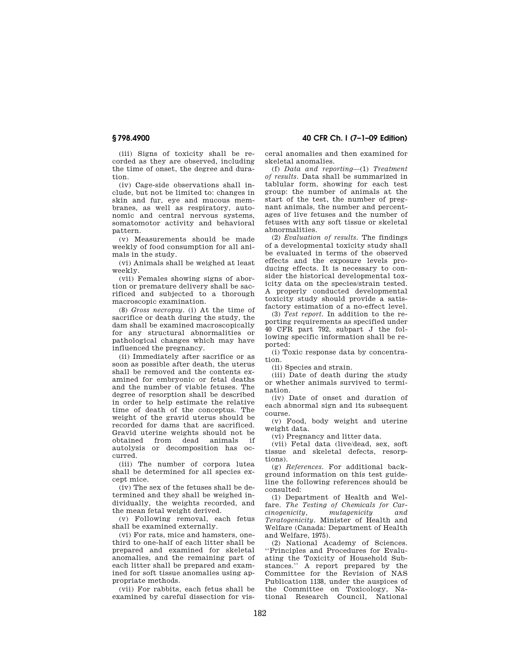**§ 798.4900 40 CFR Ch. I (7–1–09 Edition)** 

(iii) Signs of toxicity shall be recorded as they are observed, including the time of onset, the degree and duration.

(iv) Cage-side observations shall include, but not be limited to: changes in skin and fur, eye and mucous membranes, as well as respiratory, autonomic and central nervous systems, somatomotor activity and behavioral pattern.

(v) Measurements should be made weekly of food consumption for all animals in the study.

(vi) Animals shall be weighed at least weekly.

(vii) Females showing signs of abortion or premature delivery shall be sacrificed and subjected to a thorough macroscopic examination.

(8) *Gross necropsy.* (i) At the time of sacrifice or death during the study, the dam shall be examined macroscopically for any structural abnormalities or pathological changes which may have influenced the pregnancy.

(ii) Immediately after sacrifice or as soon as possible after death, the uterus shall be removed and the contents examined for embryonic or fetal deaths and the number of viable fetuses. The degree of resorption shall be described in order to help estimate the relative time of death of the conceptus. The weight of the gravid uterus should be recorded for dams that are sacrificed. Gravid uterine weights should not be obtained from dead animals if autolysis or decomposition has occurred.

(iii) The number of corpora lutea shall be determined for all species except mice.

(iv) The sex of the fetuses shall be determined and they shall be weighed individually, the weights recorded, and the mean fetal weight derived.

(v) Following removal, each fetus shall be examined externally.

(vi) For rats, mice and hamsters, onethird to one-half of each litter shall be prepared and examined for skeletal anomalies, and the remaining part of each litter shall be prepared and examined for soft tissue anomalies using appropriate methods.

(vii) For rabbits, each fetus shall be examined by careful dissection for vis-

ceral anomalies and then examined for skeletal anomalies.

(f) *Data and reporting*—(1) *Treatment of results.* Data shall be summarized in tablular form, showing for each test group: the number of animals at the start of the test, the number of pregnant animals, the number and percentages of live fetuses and the number of fetuses with any soft tissue or skeletal abnormalities.

(2) *Evaluation of results.* The findings of a developmental toxicity study shall be evaluated in terms of the observed effects and the exposure levels producing effects. It is necessary to consider the historical developmental toxicity data on the species/strain tested. A properly conducted developmental toxicity study should provide a satisfactory estimation of a no-effect level.

(3) *Test report.* In addition to the reporting requirements as specified under 40 CFR part 792, subpart J the following specific information shall be reported:

(i) Toxic response data by concentration.

(ii) Species and strain.

(iii) Date of death during the study or whether animals survived to termination.

(iv) Date of onset and duration of each abnormal sign and its subsequent course.

(v) Food, body weight and uterine weight data.

(vi) Pregnancy and litter data.

(vii) Fetal data (live/dead, sex, soft tissue and skeletal defects, resorptions).

(g) *References.* For additional background information on this test guideline the following references should be consulted:

(1) Department of Health and Welfare. *The Testing of Chemicals for Carcinogenicity, mutagenicity and Teratogenicity.* Minister of Health and Welfare (Canada: Department of Health and Welfare, 1975).

(2) National Academy of Sciences. ''Principles and Procedures for Evaluating the Toxicity of Household Substances.'' A report prepared by the Committee for the Revision of NAS Publication 1138, under the auspices of the Committee on Toxicology, National Research Council, National